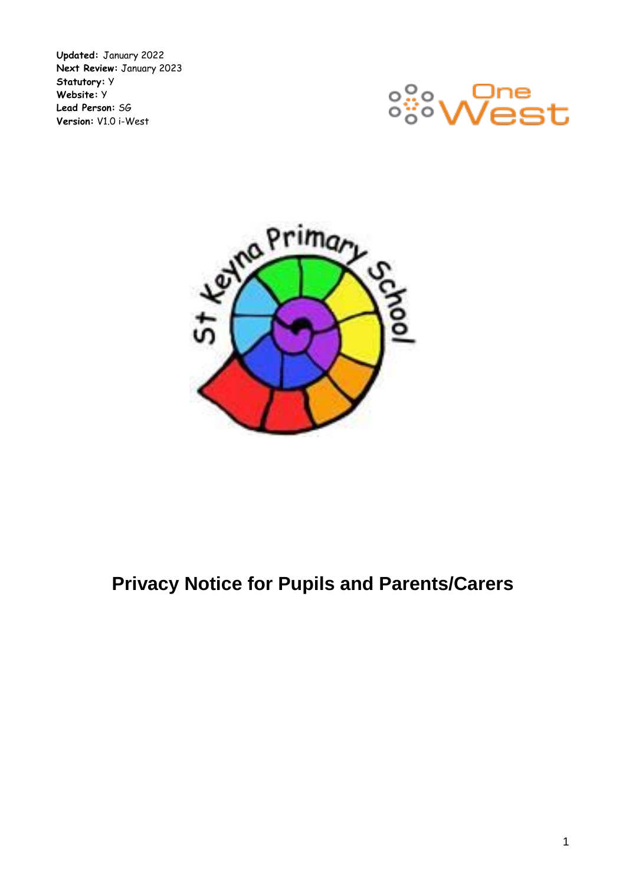**Updated:** January 2022 **Next Review:** January 2023 **Statutory:** Y **Website:** Y **Lead Person:** SG **Version:** V1.0 i-West





# **Privacy Notice for Pupils and Parents/Carers**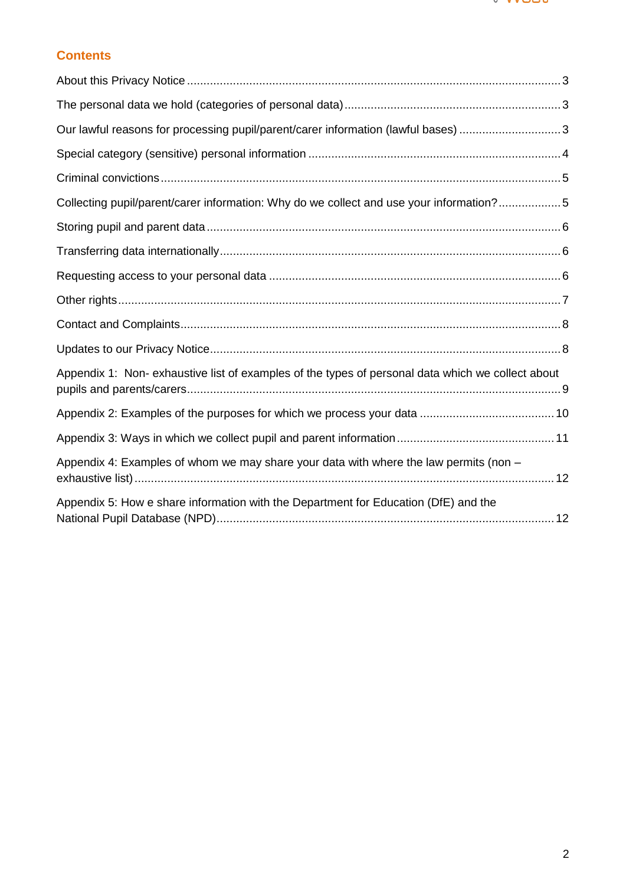

# **Contents**

<span id="page-1-0"></span>

| Our lawful reasons for processing pupil/parent/carer information (lawful bases) 3                |  |
|--------------------------------------------------------------------------------------------------|--|
|                                                                                                  |  |
|                                                                                                  |  |
| Collecting pupil/parent/carer information: Why do we collect and use your information?5          |  |
|                                                                                                  |  |
|                                                                                                  |  |
|                                                                                                  |  |
|                                                                                                  |  |
|                                                                                                  |  |
|                                                                                                  |  |
| Appendix 1: Non-exhaustive list of examples of the types of personal data which we collect about |  |
|                                                                                                  |  |
|                                                                                                  |  |
| Appendix 4: Examples of whom we may share your data with where the law permits (non -            |  |
| Appendix 5: How e share information with the Department for Education (DfE) and the              |  |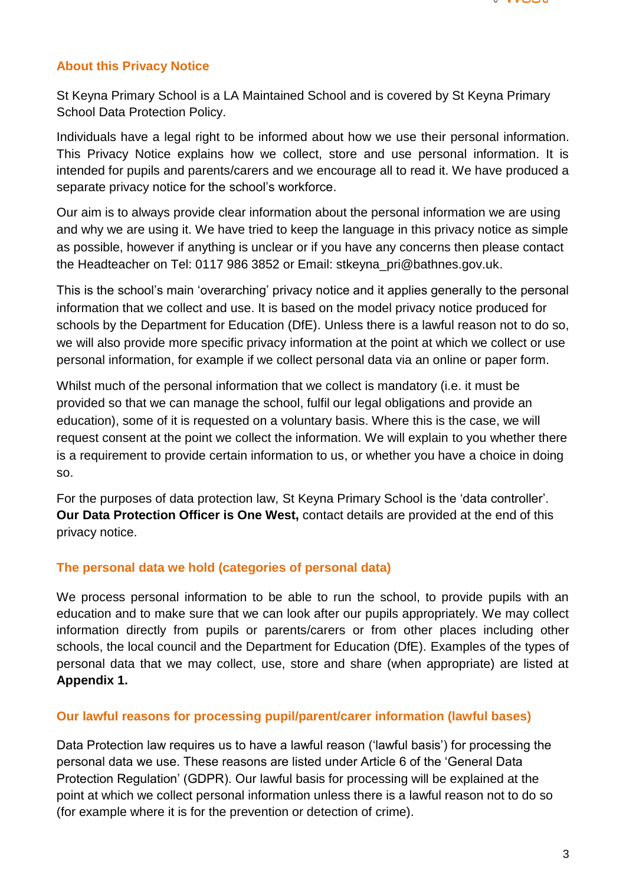

### **About this Privacy Notice**

St Keyna Primary School is a LA Maintained School and is covered by St Keyna Primary School Data Protection Policy.

Individuals have a legal right to be informed about how we use their personal information. This Privacy Notice explains how we collect, store and use personal information. It is intended for pupils and parents/carers and we encourage all to read it. We have produced a separate privacy notice for the school's workforce.

Our aim is to always provide clear information about the personal information we are using and why we are using it. We have tried to keep the language in this privacy notice as simple as possible, however if anything is unclear or if you have any concerns then please contact the Headteacher on Tel: 0117 986 3852 or Email: stkeyna\_pri@bathnes.gov.uk.

This is the school's main 'overarching' privacy notice and it applies generally to the personal information that we collect and use. It is based on the model privacy notice produced for schools by the Department for Education (DfE). Unless there is a lawful reason not to do so, we will also provide more specific privacy information at the point at which we collect or use personal information, for example if we collect personal data via an online or paper form.

Whilst much of the personal information that we collect is mandatory (i.e. it must be provided so that we can manage the school, fulfil our legal obligations and provide an education), some of it is requested on a voluntary basis. Where this is the case, we will request consent at the point we collect the information. We will explain to you whether there is a requirement to provide certain information to us, or whether you have a choice in doing so.

For the purposes of data protection law, St Keyna Primary School is the 'data controller'. **Our Data Protection Officer is One West,** contact details are provided at the end of this privacy notice.

#### <span id="page-2-0"></span>**The personal data we hold (categories of personal data)**

We process personal information to be able to run the school, to provide pupils with an education and to make sure that we can look after our pupils appropriately. We may collect information directly from pupils or parents/carers or from other places including other schools, the local council and the Department for Education (DfE). Examples of the types of personal data that we may collect, use, store and share (when appropriate) are listed at **Appendix 1.**

#### <span id="page-2-1"></span>**Our lawful reasons for processing pupil/parent/carer information (lawful bases)**

Data Protection law requires us to have a lawful reason ('lawful basis') for processing the personal data we use. These reasons are listed under Article 6 of the 'General Data Protection Regulation' (GDPR). Our lawful basis for processing will be explained at the point at which we collect personal information unless there is a lawful reason not to do so (for example where it is for the prevention or detection of crime).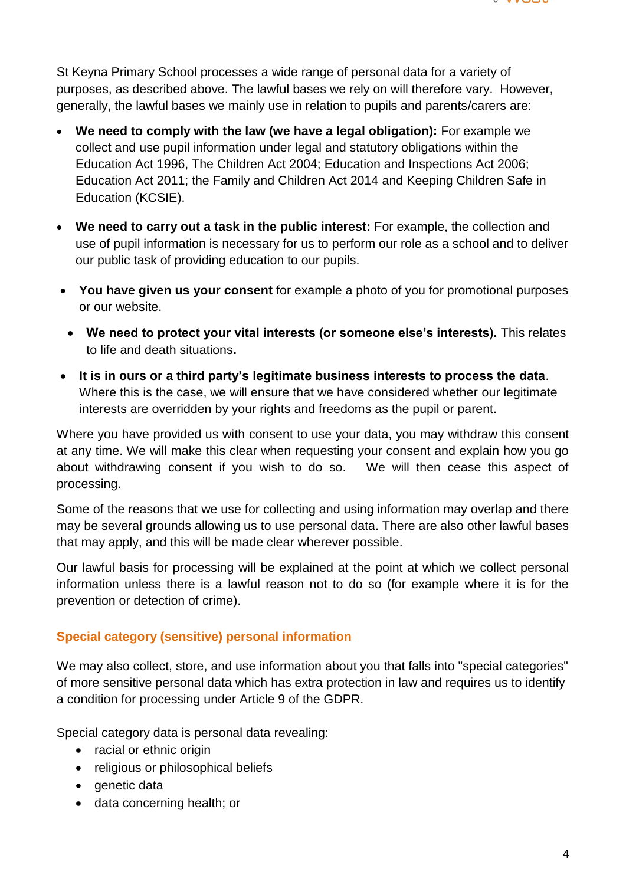

St Keyna Primary School processes a wide range of personal data for a variety of purposes, as described above. The lawful bases we rely on will therefore vary. However, generally, the lawful bases we mainly use in relation to pupils and parents/carers are:

- **We need to comply with the law (we have a legal obligation):** For example we collect and use pupil information under legal and statutory obligations within the Education Act 1996, The Children Act 2004; Education and Inspections Act 2006; Education Act 2011; the Family and Children Act 2014 and Keeping Children Safe in Education (KCSIE).
- **We need to carry out a task in the public interest:** For example, the collection and use of pupil information is necessary for us to perform our role as a school and to deliver our public task of providing education to our pupils.
- **You have given us your consent** for example a photo of you for promotional purposes or our website.
	- **We need to protect your vital interests (or someone else's interests).** This relates to life and death situations**.**
- **It is in ours or a third party's legitimate business interests to process the data**. Where this is the case, we will ensure that we have considered whether our legitimate interests are overridden by your rights and freedoms as the pupil or parent.

Where you have provided us with consent to use your data, you may withdraw this consent at any time. We will make this clear when requesting your consent and explain how you go about withdrawing consent if you wish to do so. We will then cease this aspect of processing.

Some of the reasons that we use for collecting and using information may overlap and there may be several grounds allowing us to use personal data. There are also other lawful bases that may apply, and this will be made clear wherever possible.

Our lawful basis for processing will be explained at the point at which we collect personal information unless there is a lawful reason not to do so (for example where it is for the prevention or detection of crime).

## <span id="page-3-0"></span>**Special category (sensitive) personal information**

We may also collect, store, and use information about you that falls into "special categories" of more sensitive personal data which has extra protection in law and requires us to identify a condition for processing under Article 9 of the GDPR.

Special category data is personal data revealing:

- racial or ethnic origin
- religious or philosophical beliefs
- genetic data
- data concerning health; or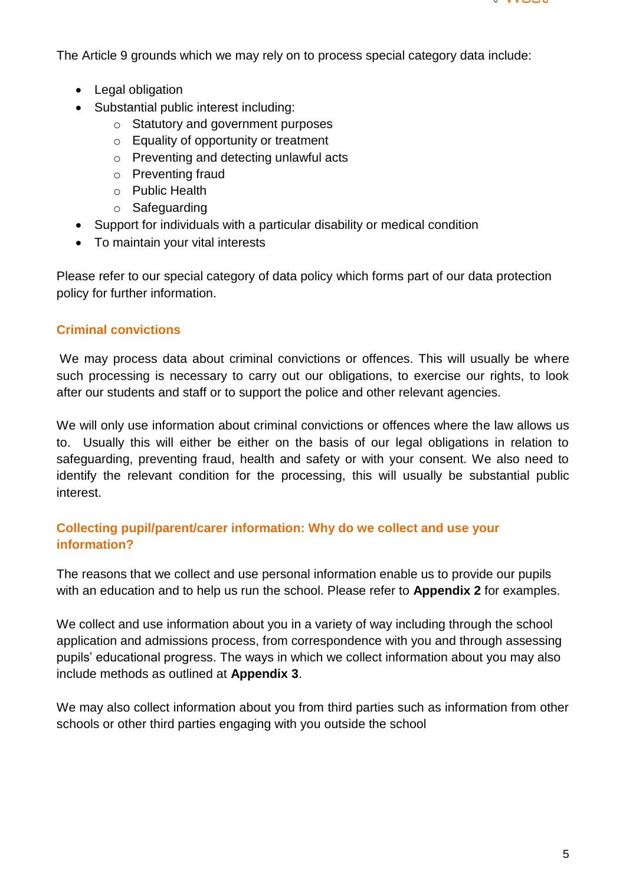

The Article 9 grounds which we may rely on to process special category data include:

- Legal obligation
- Substantial public interest including:
	- o Statutory and government purposes
	- o Equality of opportunity or treatment
	- o Preventing and detecting unlawful acts
	- o Preventing fraud
	- o Public Health
	- o Safeguarding
- Support for individuals with a particular disability or medical condition
- To maintain your vital interests

Please refer to our special category of data policy which forms part of our data protection policy for further information.

## <span id="page-4-0"></span>**Criminal convictions**

We may process data about criminal convictions or offences. This will usually be where such processing is necessary to carry out our obligations, to exercise our rights, to look after our students and staff or to support the police and other relevant agencies.

We will only use information about criminal convictions or offences where the law allows us to. Usually this will either be either on the basis of our legal obligations in relation to safeguarding, preventing fraud, health and safety or with your consent. We also need to identify the relevant condition for the processing, this will usually be substantial public interest.

### <span id="page-4-1"></span>**Collecting pupil/parent/carer information: Why do we collect and use your information?**

The reasons that we collect and use personal information enable us to provide our pupils with an education and to help us run the school. Please refer to **Appendix 2** for examples.

We collect and use information about you in a variety of way including through the school application and admissions process, from correspondence with you and through assessing pupils' educational progress. The ways in which we collect information about you may also include methods as outlined at **Appendix 3**.

We may also collect information about you from third parties such as information from other schools or other third parties engaging with you outside the school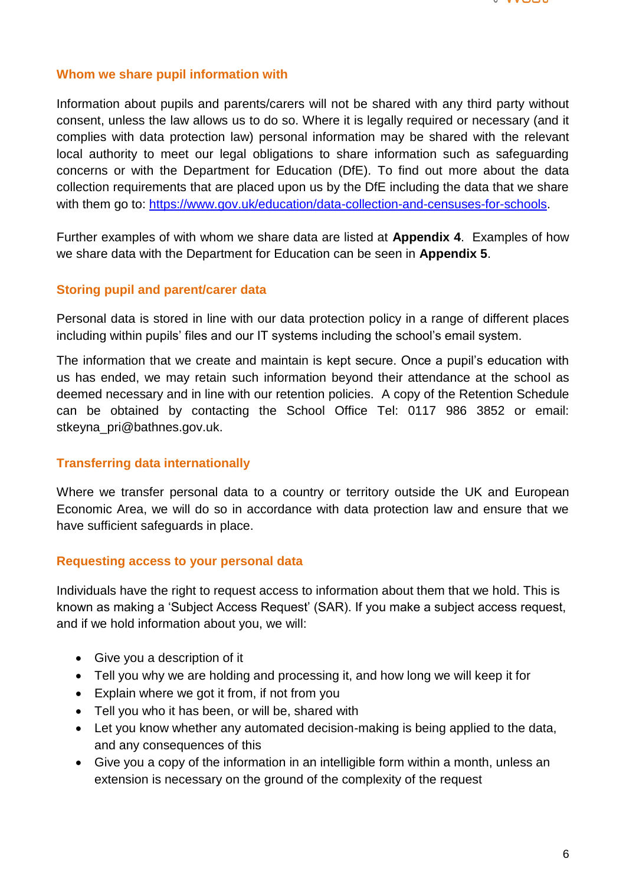

#### **Whom we share pupil information with**

Information about pupils and parents/carers will not be shared with any third party without consent, unless the law allows us to do so. Where it is legally required or necessary (and it complies with data protection law) personal information may be shared with the relevant local authority to meet our legal obligations to share information such as safeguarding concerns or with the Department for Education (DfE). To find out more about the data collection requirements that are placed upon us by the DfE including the data that we share with them go to: [https://www.gov.uk/education/data-collection-and-censuses-for-schools.](https://www.gov.uk/education/data-collection-and-censuses-for-schools)

Further examples of with whom we share data are listed at **Appendix 4**. Examples of how we share data with the Department for Education can be seen in **Appendix 5**.

#### <span id="page-5-0"></span>**Storing pupil and parent/carer data**

Personal data is stored in line with our data protection policy in a range of different places including within pupils' files and our IT systems including the school's email system.

The information that we create and maintain is kept secure. Once a pupil's education with us has ended, we may retain such information beyond their attendance at the school as deemed necessary and in line with our retention policies. A copy of the Retention Schedule can be obtained by contacting the School Office Tel: 0117 986 3852 or email: stkeyna\_pri@bathnes.gov.uk.

#### <span id="page-5-1"></span>**Transferring data internationally**

Where we transfer personal data to a country or territory outside the UK and European Economic Area, we will do so in accordance with data protection law and ensure that we have sufficient safeguards in place.

#### <span id="page-5-2"></span>**Requesting access to your personal data**

Individuals have the right to request access to information about them that we hold. This is known as making a 'Subject Access Request' (SAR). If you make a subject access request, and if we hold information about you, we will:

- Give you a description of it
- Tell you why we are holding and processing it, and how long we will keep it for
- Explain where we got it from, if not from you
- Tell you who it has been, or will be, shared with
- Let you know whether any automated decision-making is being applied to the data, and any consequences of this
- Give you a copy of the information in an intelligible form within a month, unless an extension is necessary on the ground of the complexity of the request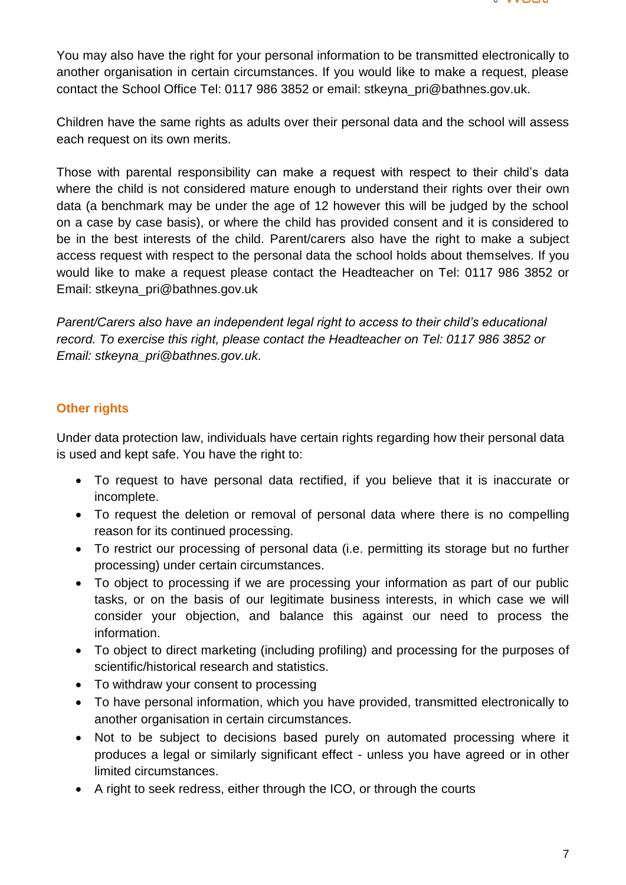

You may also have the right for your personal information to be transmitted electronically to another organisation in certain circumstances. If you would like to make a request, please contact the School Office Tel: 0117 986 3852 or email: stkeyna\_pri@bathnes.gov.uk.

Children have the same rights as adults over their personal data and the school will assess each request on its own merits.

Those with parental responsibility can make a request with respect to their child's data where the child is not considered mature enough to understand their rights over their own data (a benchmark may be under the age of 12 however this will be judged by the school on a case by case basis), or where the child has provided consent and it is considered to be in the best interests of the child. Parent/carers also have the right to make a subject access request with respect to the personal data the school holds about themselves. If you would like to make a request please contact the Headteacher on Tel: 0117 986 3852 or Email: stkeyna\_pri@bathnes.gov.uk

*Parent/Carers also have an independent legal right to access to their child's educational record. To exercise this right, please contact the Headteacher on Tel: 0117 986 3852 or Email: stkeyna\_pri@bathnes.gov.uk.*

#### <span id="page-6-0"></span>**Other rights**

Under data protection law, individuals have certain rights regarding how their personal data is used and kept safe. You have the right to:

- To request to have personal data rectified, if you believe that it is inaccurate or incomplete.
- To request the deletion or removal of personal data where there is no compelling reason for its continued processing.
- To restrict our processing of personal data (i.e. permitting its storage but no further processing) under certain circumstances.
- To object to processing if we are processing your information as part of our public tasks, or on the basis of our legitimate business interests, in which case we will consider your objection, and balance this against our need to process the information.
- To object to direct marketing (including profiling) and processing for the purposes of scientific/historical research and statistics.
- To withdraw your consent to processing
- To have personal information, which you have provided, transmitted electronically to another organisation in certain circumstances.
- Not to be subject to decisions based purely on automated processing where it produces a legal or similarly significant effect - unless you have agreed or in other limited circumstances.
- A right to seek redress, either through the ICO, or through the courts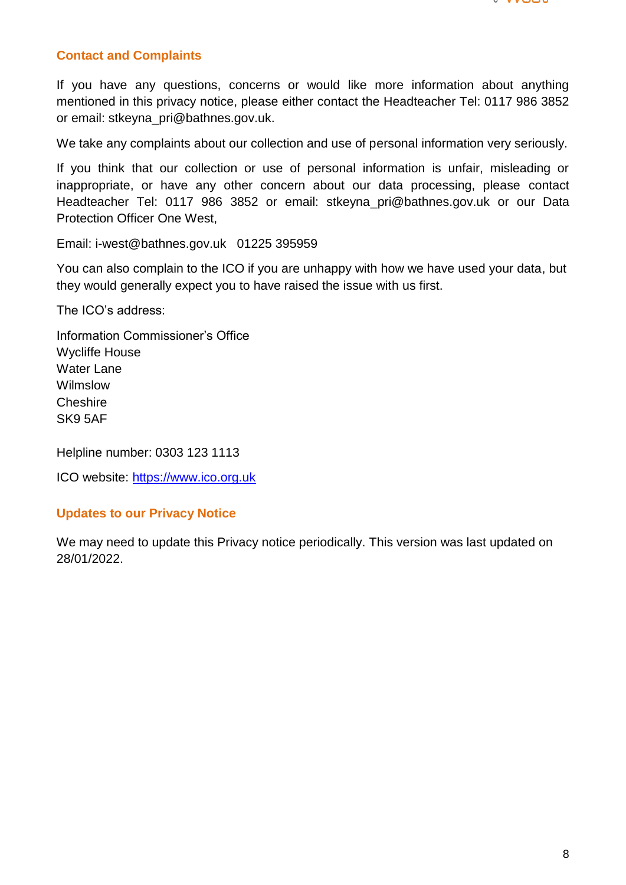

### <span id="page-7-0"></span>**Contact and Complaints**

If you have any questions, concerns or would like more information about anything mentioned in this privacy notice, please either contact the Headteacher Tel: 0117 986 3852 or email: stkeyna\_pri@bathnes.gov.uk.

We take any complaints about our collection and use of personal information very seriously.

If you think that our collection or use of personal information is unfair, misleading or inappropriate, or have any other concern about our data processing, please contact Headteacher Tel: 0117 986 3852 or email: stkeyna\_pri@bathnes.gov.uk or our Data Protection Officer One West,

Email: i-west@bathnes.gov.uk 01225 395959

You can also complain to the ICO if you are unhappy with how we have used your data, but they would generally expect you to have raised the issue with us first.

The ICO's address:

Information Commissioner's Office Wycliffe House Water Lane Wilmslow **Cheshire** SK9 5AF

Helpline number: 0303 123 1113

ICO website: [https://www.ico.org.uk](https://www.ico.org.uk/)

#### <span id="page-7-1"></span>**Updates to our Privacy Notice**

<span id="page-7-2"></span>We may need to update this Privacy notice periodically. This version was last updated on 28/01/2022.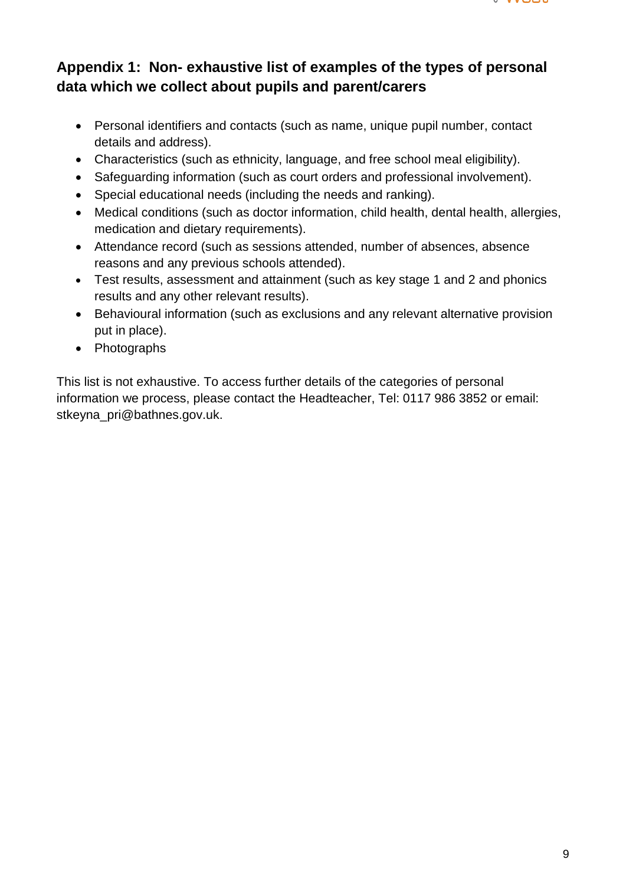

# **Appendix 1: Non- exhaustive list of examples of the types of personal data which we collect about pupils and parent/carers**

- Personal identifiers and contacts (such as name, unique pupil number, contact details and address).
- Characteristics (such as ethnicity, language, and free school meal eligibility).
- Safeguarding information (such as court orders and professional involvement).
- Special educational needs (including the needs and ranking).
- Medical conditions (such as doctor information, child health, dental health, allergies, medication and dietary requirements).
- Attendance record (such as sessions attended, number of absences, absence reasons and any previous schools attended).
- Test results, assessment and attainment (such as key stage 1 and 2 and phonics results and any other relevant results).
- Behavioural information (such as exclusions and any relevant alternative provision put in place).
- Photographs

<span id="page-8-0"></span>This list is not exhaustive. To access further details of the categories of personal information we process, please contact the Headteacher, Tel: 0117 986 3852 or email: stkeyna\_pri@bathnes.gov.uk.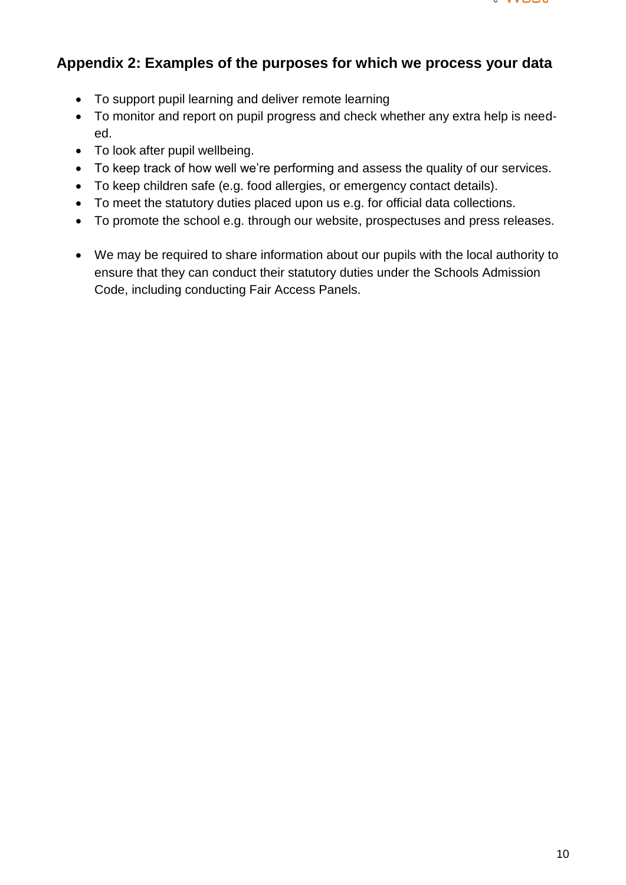

# **Appendix 2: Examples of the purposes for which we process your data**

- To support pupil learning and deliver remote learning
- To monitor and report on pupil progress and check whether any extra help is needed.
- To look after pupil wellbeing.
- To keep track of how well we're performing and assess the quality of our services.
- To keep children safe (e.g. food allergies, or emergency contact details).
- To meet the statutory duties placed upon us e.g. for official data collections.
- To promote the school e.g. through our website, prospectuses and press releases.
- We may be required to share information about our pupils with the local authority to ensure that they can conduct their statutory duties under the Schools Admission Code, including conducting Fair Access Panels.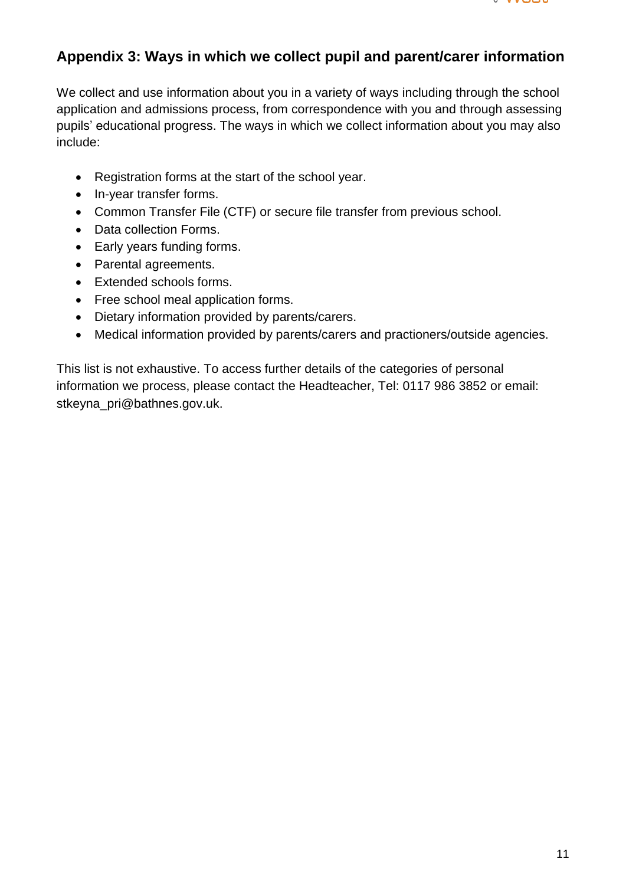

# <span id="page-10-0"></span>**Appendix 3: Ways in which we collect pupil and parent/carer information**

We collect and use information about you in a variety of ways including through the school application and admissions process, from correspondence with you and through assessing pupils' educational progress. The ways in which we collect information about you may also include:

- Registration forms at the start of the school year.
- In-year transfer forms.
- Common Transfer File (CTF) or secure file transfer from previous school.
- Data collection Forms.
- Early years funding forms.
- Parental agreements.
- Extended schools forms.
- Free school meal application forms.
- Dietary information provided by parents/carers.
- Medical information provided by parents/carers and practioners/outside agencies.

This list is not exhaustive. To access further details of the categories of personal information we process, please contact the Headteacher, Tel: 0117 986 3852 or email: stkeyna\_pri@bathnes.gov.uk.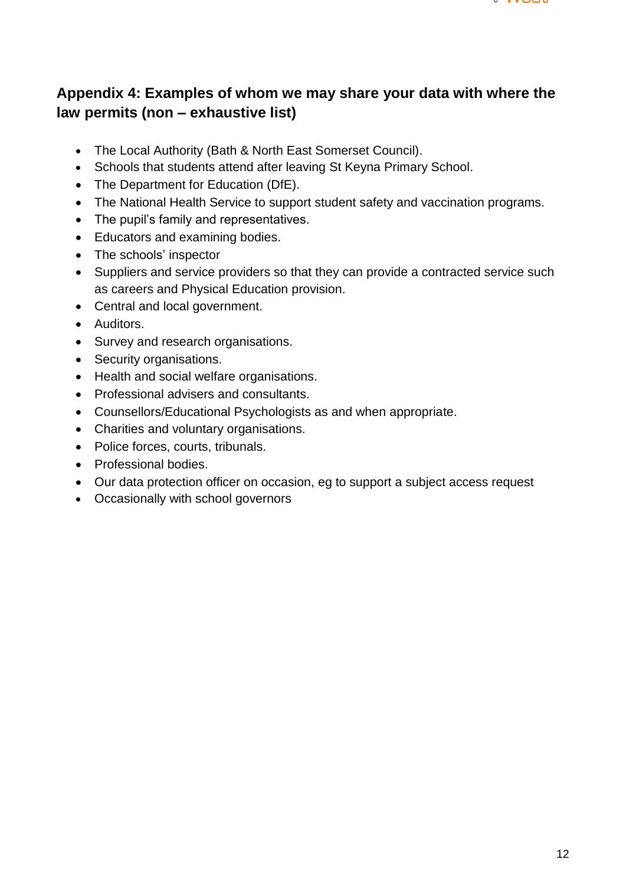

# <span id="page-11-0"></span>**Appendix 4: Examples of whom we may share your data with where the law permits (non – exhaustive list)**

- The Local Authority (Bath & North East Somerset Council).
- Schools that students attend after leaving St Keyna Primary School.
- The Department for Education (DfE).
- The National Health Service to support student safety and vaccination programs.
- The pupil's family and representatives.
- Educators and examining bodies.
- The schools' inspector
- Suppliers and service providers so that they can provide a contracted service such as careers and Physical Education provision.
- Central and local government.
- Auditors.
- Survey and research organisations.
- Security organisations.
- Health and social welfare organisations.
- Professional advisers and consultants.
- Counsellors/Educational Psychologists as and when appropriate.
- Charities and voluntary organisations.
- Police forces, courts, tribunals.
- Professional bodies.
- Our data protection officer on occasion, eg to support a subject access request
- Occasionally with school governors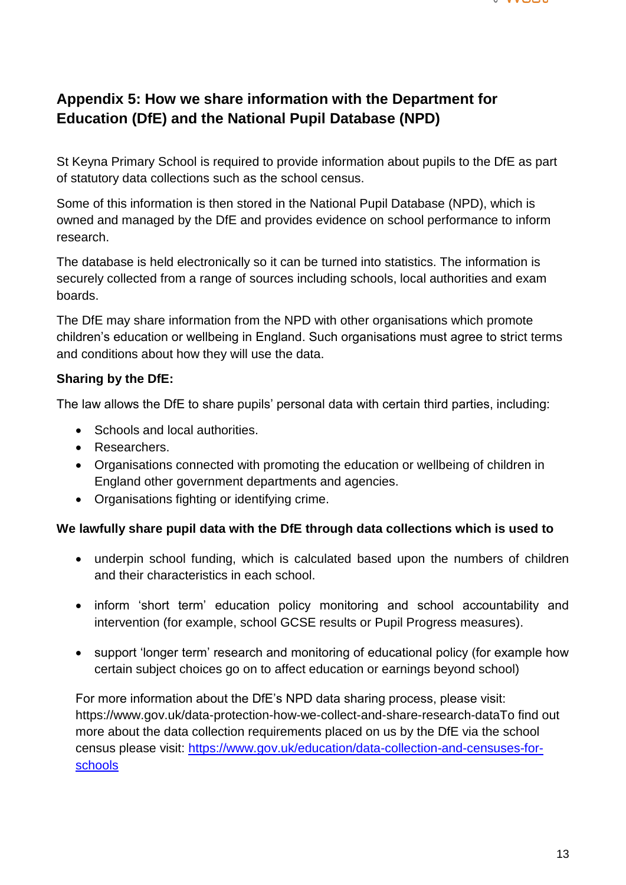

# **Appendix 5: How we share information with the Department for Education (DfE) and the National Pupil Database (NPD)**

St Keyna Primary School is required to provide information about pupils to the DfE as part of statutory data collections such as the school census.

Some of this information is then stored in the National Pupil Database (NPD), which is owned and managed by the DfE and provides evidence on school performance to inform research.

The database is held electronically so it can be turned into statistics. The information is securely collected from a range of sources including schools, local authorities and exam boards.

The DfE may share information from the NPD with other organisations which promote children's education or wellbeing in England. Such organisations must agree to strict terms and conditions about how they will use the data.

### **Sharing by the DfE:**

The law allows the DfE to share pupils' personal data with certain third parties, including:

- Schools and local authorities.
- Researchers.
- Organisations connected with promoting the education or wellbeing of children in England other government departments and agencies.
- Organisations fighting or identifying crime.

#### **We lawfully share pupil data with the DfE through data collections which is used to**

- underpin school funding, which is calculated based upon the numbers of children and their characteristics in each school.
- inform 'short term' education policy monitoring and school accountability and intervention (for example, school GCSE results or Pupil Progress measures).
- support 'longer term' research and monitoring of educational policy (for example how certain subject choices go on to affect education or earnings beyond school)

For more information about the DfE's NPD data sharing process, please visit: https://www.gov.uk/data-protection-how-we-collect-and-share-research-dataTo find out more about the data collection requirements placed on us by the DfE via the school census please visit: [https://www.gov.uk/education/data-collection-and-censuses-for](https://www.gov.uk/education/data-collection-and-censuses-for-schools)[schools](https://www.gov.uk/education/data-collection-and-censuses-for-schools)